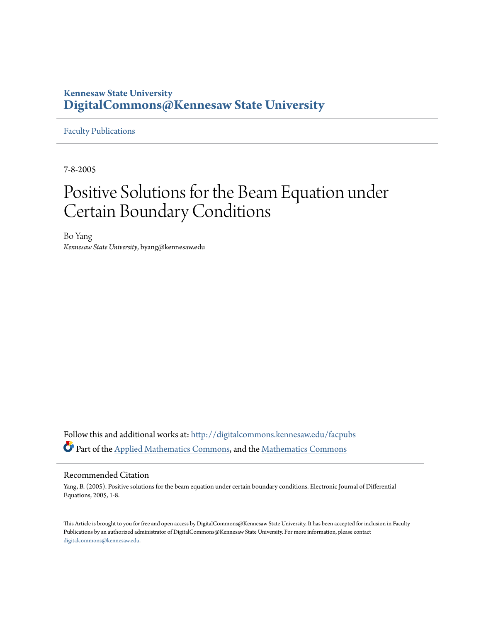# **Kennesaw State University [DigitalCommons@Kennesaw State University](http://digitalcommons.kennesaw.edu?utm_source=digitalcommons.kennesaw.edu%2Ffacpubs%2F1106&utm_medium=PDF&utm_campaign=PDFCoverPages)**

[Faculty Publications](http://digitalcommons.kennesaw.edu/facpubs?utm_source=digitalcommons.kennesaw.edu%2Ffacpubs%2F1106&utm_medium=PDF&utm_campaign=PDFCoverPages)

7-8-2005

# Positive Solutions for the Beam Equation under Certain Boundary Conditions

Bo Yang *Kennesaw State University*, byang@kennesaw.edu

Follow this and additional works at: [http://digitalcommons.kennesaw.edu/facpubs](http://digitalcommons.kennesaw.edu/facpubs?utm_source=digitalcommons.kennesaw.edu%2Ffacpubs%2F1106&utm_medium=PDF&utm_campaign=PDFCoverPages) Part of the [Applied Mathematics Commons](http://network.bepress.com/hgg/discipline/115?utm_source=digitalcommons.kennesaw.edu%2Ffacpubs%2F1106&utm_medium=PDF&utm_campaign=PDFCoverPages), and the [Mathematics Commons](http://network.bepress.com/hgg/discipline/174?utm_source=digitalcommons.kennesaw.edu%2Ffacpubs%2F1106&utm_medium=PDF&utm_campaign=PDFCoverPages)

### Recommended Citation

Yang, B. (2005). Positive solutions for the beam equation under certain boundary conditions. Electronic Journal of Differential Equations, 2005, 1-8.

This Article is brought to you for free and open access by DigitalCommons@Kennesaw State University. It has been accepted for inclusion in Faculty Publications by an authorized administrator of DigitalCommons@Kennesaw State University. For more information, please contact [digitalcommons@kennesaw.edu.](mailto:digitalcommons@kennesaw.edu)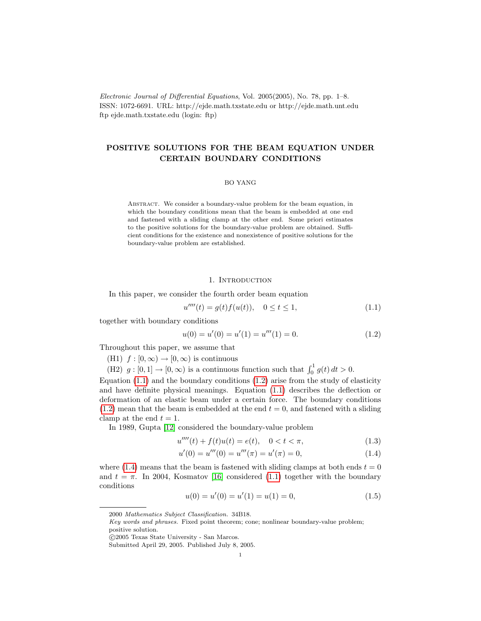Electronic Journal of Differential Equations, Vol. 2005(2005), No. 78, pp. 1–8. ISSN: 1072-6691. URL: http://ejde.math.txstate.edu or http://ejde.math.unt.edu ftp ejde.math.txstate.edu (login: ftp)

## POSITIVE SOLUTIONS FOR THE BEAM EQUATION UNDER CERTAIN BOUNDARY CONDITIONS

#### BO YANG

Abstract. We consider a boundary-value problem for the beam equation, in which the boundary conditions mean that the beam is embedded at one end and fastened with a sliding clamp at the other end. Some priori estimates to the positive solutions for the boundary-value problem are obtained. Sufficient conditions for the existence and nonexistence of positive solutions for the boundary-value problem are established.

#### <span id="page-1-1"></span><span id="page-1-0"></span>1. INTRODUCTION

In this paper, we consider the fourth order beam equation

$$
u''''(t) = g(t)f(u(t)), \quad 0 \le t \le 1,
$$
\n(1.1)

together with boundary conditions

$$
u(0) = u'(0) = u'(1) = u'''(1) = 0.
$$
\n(1.2)

Throughout this paper, we assume that

(H1)  $f : [0, \infty) \to [0, \infty)$  is continuous

(H2)  $g: [0, 1] \to [0, \infty)$  is a continuous function such that  $\int_0^1 g(t) dt > 0$ .

Equation  $(1.1)$  and the boundary conditions  $(1.2)$  arise from the study of elasticity and have definite physical meanings. Equation [\(1.1\)](#page-1-0) describes the deflection or deformation of an elastic beam under a certain force. The boundary conditions  $(1.2)$  mean that the beam is embedded at the end  $t = 0$ , and fastened with a sliding clamp at the end  $t = 1$ .

In 1989, Gupta [\[12\]](#page-8-0) considered the boundary-value problem

$$
u''''(t) + f(t)u(t) = e(t), \quad 0 < t < \pi,\tag{1.3}
$$

$$
u'(0) = u'''(0) = u'''(\pi) = u'(\pi) = 0,
$$
\n(1.4)

<span id="page-1-3"></span>where [\(1.4\)](#page-1-2) means that the beam is fastened with sliding clamps at both ends  $t = 0$ and  $t = \pi$ . In 2004, Kosmatov [\[16\]](#page-8-1) considered [\(1.1\)](#page-1-0) together with the boundary conditions

<span id="page-1-2"></span>
$$
u(0) = u'(0) = u'(1) = u(1) = 0,
$$
\n(1.5)

<sup>2000</sup> Mathematics Subject Classification. 34B18.

Key words and phrases. Fixed point theorem; cone; nonlinear boundary-value problem; positive solution.

c 2005 Texas State University - San Marcos.

Submitted April 29, 2005. Published July 8, 2005.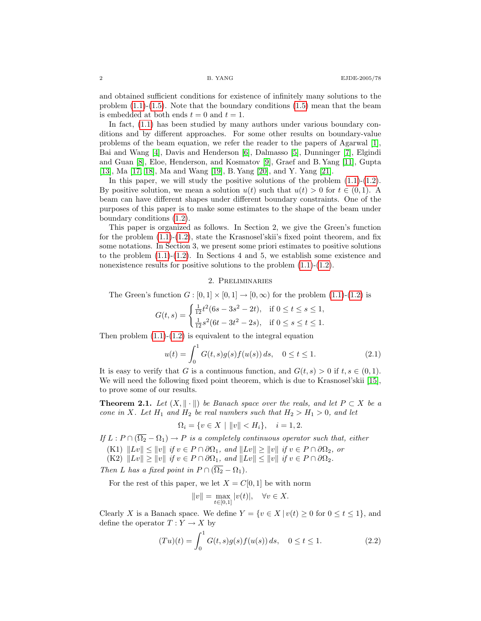and obtained sufficient conditions for existence of infinitely many solutions to the problem  $(1.1)-(1.5)$  $(1.1)-(1.5)$  $(1.1)-(1.5)$ . Note that the boundary conditions  $(1.5)$  mean that the beam is embedded at both ends  $t = 0$  and  $t = 1$ .

In fact, [\(1.1\)](#page-1-0) has been studied by many authors under various boundary conditions and by different approaches. For some other results on boundary-value problems of the beam equation, we refer the reader to the papers of Agarwal [\[1\]](#page-8-2), Bai and Wang [\[4\]](#page-8-3), Davis and Henderson [\[6\]](#page-8-4), Dalmasso [\[5\]](#page-8-5), Dunninger [\[7\]](#page-8-6), Elgindi and Guan [\[8\]](#page-8-7), Eloe, Henderson, and Kosmatov [\[9\]](#page-8-8), Graef and B. Yang [\[11\]](#page-8-9), Gupta [\[13\]](#page-8-10), Ma [\[17,](#page-8-11) [18\]](#page-8-12), Ma and Wang [\[19\]](#page-8-13), B. Yang [\[20\]](#page-8-14), and Y. Yang [\[21\]](#page-8-15).

In this paper, we will study the positive solutions of the problem  $(1.1)-(1.2)$  $(1.1)-(1.2)$  $(1.1)-(1.2)$ . By positive solution, we mean a solution  $u(t)$  such that  $u(t) > 0$  for  $t \in (0,1)$ . A beam can have different shapes under different boundary constraints. One of the purposes of this paper is to make some estimates to the shape of the beam under boundary conditions [\(1.2\)](#page-1-1).

This paper is organized as follows. In Section 2, we give the Green's function for the problem  $(1.1)-(1.2)$  $(1.1)-(1.2)$  $(1.1)-(1.2)$ , state the Krasnosel'skii's fixed point theorem, and fix some notations. In Section 3, we present some priori estimates to positive solutions to the problem  $(1.1)-(1.2)$  $(1.1)-(1.2)$  $(1.1)-(1.2)$ . In Sections 4 and 5, we establish some existence and nonexistence results for positive solutions to the problem  $(1.1)-(1.2)$  $(1.1)-(1.2)$  $(1.1)-(1.2)$ .

#### 2. Preliminaries

The Green's function  $G : [0,1] \times [0,1] \rightarrow [0,\infty)$  for the problem  $(1.1)$ - $(1.2)$  is

$$
G(t,s) = \begin{cases} \frac{1}{12}t^2(6s - 3s^2 - 2t), & \text{if } 0 \le t \le s \le 1, \\ \frac{1}{12}s^2(6t - 3t^2 - 2s), & \text{if } 0 \le s \le t \le 1. \end{cases}
$$

Then problem  $(1.1)-(1.2)$  $(1.1)-(1.2)$  $(1.1)-(1.2)$  is equivalent to the integral equation

$$
u(t) = \int_0^1 G(t,s)g(s)f(u(s))\,ds, \quad 0 \le t \le 1. \tag{2.1}
$$

It is easy to verify that G is a continuous function, and  $G(t, s) > 0$  if  $t, s \in (0, 1)$ . We will need the following fixed point theorem, which is due to Krasnosel'skii [\[15\]](#page-8-16), to prove some of our results.

<span id="page-2-0"></span>**Theorem 2.1.** Let  $(X, \|\cdot\|)$  be Banach space over the reals, and let  $P \subset X$  be a cone in X. Let  $H_1$  and  $H_2$  be real numbers such that  $H_2 > H_1 > 0$ , and let

$$
\Omega_i = \{ v \in X \mid ||v|| < H_i \}, \quad i = 1, 2.
$$

If  $L : P \cap (\overline{\Omega_2} - \Omega_1) \to P$  is a completely continuous operator such that, either

- (K1)  $\|Lv\| \leq \|v\|$  if  $v \in P \cap \partial\Omega_1$ , and  $\|Lv\| \geq \|v\|$  if  $v \in P \cap \partial\Omega_2$ , or
- (K2)  $||Lv|| \ge ||v||$  if  $v \in P \cap \partial \Omega_1$ , and  $||Lv|| \le ||v||$  if  $v \in P \cap \partial \Omega_2$ .

Then L has a fixed point in  $P \cap (\overline{\Omega_2} - \Omega_1)$ .

For the rest of this paper, we let  $X = C[0, 1]$  be with norm

$$
||v|| = \max_{t \in [0,1]} |v(t)|, \quad \forall v \in X.
$$

Clearly X is a Banach space. We define  $Y = \{v \in X \mid v(t) \geq 0 \text{ for } 0 \leq t \leq 1\}$ , and define the operator  $T: Y \to X$  by

$$
(Tu)(t) = \int_0^1 G(t,s)g(s)f(u(s))\,ds, \quad 0 \le t \le 1. \tag{2.2}
$$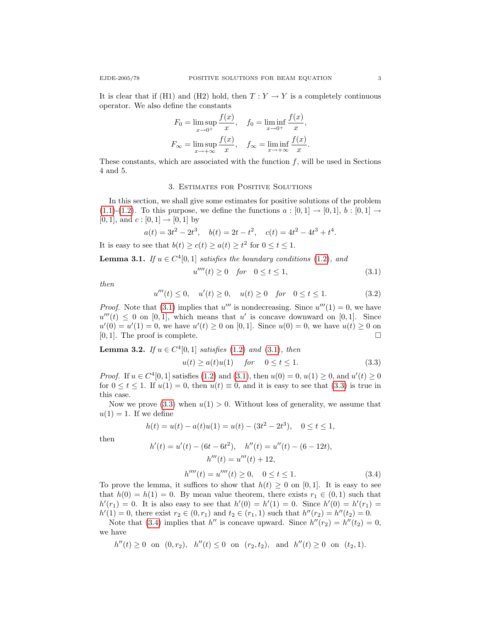$$
F_0 = \limsup_{x \to 0^+} \frac{f(x)}{x}, \quad f_0 = \liminf_{x \to 0^+} \frac{f(x)}{x},
$$
  

$$
F_{\infty} = \limsup_{x \to +\infty} \frac{f(x)}{x}, \quad f_{\infty} = \liminf_{x \to +\infty} \frac{f(x)}{x}.
$$

These constants, which are associated with the function  $f$ , will be used in Sections 4 and 5.

#### 3. Estimates for Positive Solutions

In this section, we shall give some estimates for positive solutions of the problem  $(1.1)-(1.2)$  $(1.1)-(1.2)$  $(1.1)-(1.2)$ . To this purpose, we define the functions  $a:[0,1] \rightarrow [0,1], b:[0,1] \rightarrow$  $[0, 1]$ , and  $c : [0, 1] \rightarrow [0, 1]$  by

$$
a(t) = 3t^2 - 2t^3, \quad b(t) = 2t - t^2, \quad c(t) = 4t^2 - 4t^3 + t^4.
$$

It is easy to see that  $b(t) \ge c(t) \ge a(t) \ge t^2$  for  $0 \le t \le 1$ .

<span id="page-3-4"></span>**Lemma 3.1.** If  $u \in C^4[0,1]$  satisfies the boundary conditions [\(1.2\)](#page-1-1), and

<span id="page-3-1"></span><span id="page-3-0"></span>
$$
u''''(t) \ge 0 \quad \text{for} \quad 0 \le t \le 1,\tag{3.1}
$$

<span id="page-3-3"></span>then

u

$$
u'''(t) \le 0, \quad u'(t) \ge 0, \quad u(t) \ge 0 \quad \text{for} \quad 0 \le t \le 1. \tag{3.2}
$$

*Proof.* Note that [\(3.1\)](#page-3-0) implies that  $u'''$  is nondecreasing. Since  $u'''(1) = 0$ , we have  $u'''(t) \leq 0$  on [0, 1], which means that u' is concave downward on [0, 1]. Since  $u'(0) = u'(1) = 0$ , we have  $u'(t) \ge 0$  on [0,1]. Since  $u(0) = 0$ , we have  $u(t) \ge 0$  on [0, 1]. The proof is complete.  $\square$ 

<span id="page-3-5"></span>**Lemma 3.2.** If 
$$
u \in C^4[0, 1]
$$
 satisfies (1.2) and (3.1), then  
 $u(t) \ge a(t)u(1)$  for  $0 \le t \le 1$ . (3.3)

*Proof.* If  $u \in C^4[0, 1]$  satisfies [\(1.2\)](#page-1-1) and [\(3.1\)](#page-3-0), then  $u(0) = 0$ ,  $u(1) \ge 0$ , and  $u'(t) \ge 0$ for  $0 \le t \le 1$ . If  $u(1) = 0$ , then  $u(t) \equiv 0$ , and it is easy to see that  $(3.3)$  is true in this case.

Now we prove  $(3.3)$  when  $u(1) > 0$ . Without loss of generality, we assume that  $u(1) = 1$ . If we define

$$
h(t) = u(t) - a(t)u(1) = u(t) - (3t^2 - 2t^3), \quad 0 \le t \le 1,
$$

<span id="page-3-2"></span>then

$$
h'(t) = u'(t) - (6t - 6t2), \quad h''(t) = u''(t) - (6 - 12t),
$$

$$
h'''(t) = u'''(t) + 12,
$$

$$
h''''(t) = u'''(t) \ge 0, \quad 0 \le t \le 1.
$$
\n(3.4)

To prove the lemma, it suffices to show that  $h(t) \geq 0$  on [0, 1]. It is easy to see that  $h(0) = h(1) = 0$ . By mean value theorem, there exists  $r_1 \in (0,1)$  such that  $h'(r_1) = 0$ . It is also easy to see that  $h'(0) = h'(1) = 0$ . Since  $h'(0) = h'(r_1) = 0$  $h'(1) = 0$ , there exist  $r_2 \in (0, r_1)$  and  $t_2 \in (r_1, 1)$  such that  $h''(r_2) = h''(t_2) = 0$ .

Note that [\(3.4\)](#page-3-2) implies that h'' is concave upward. Since  $h''(r_2) = h''(t_2) = 0$ , we have

$$
h''(t) \ge 0 \quad \text{on} \quad (0, r_2), \quad h''(t) \le 0 \quad \text{on} \quad (r_2, t_2), \quad \text{and} \quad h''(t) \ge 0 \quad \text{on} \quad (t_2, 1).
$$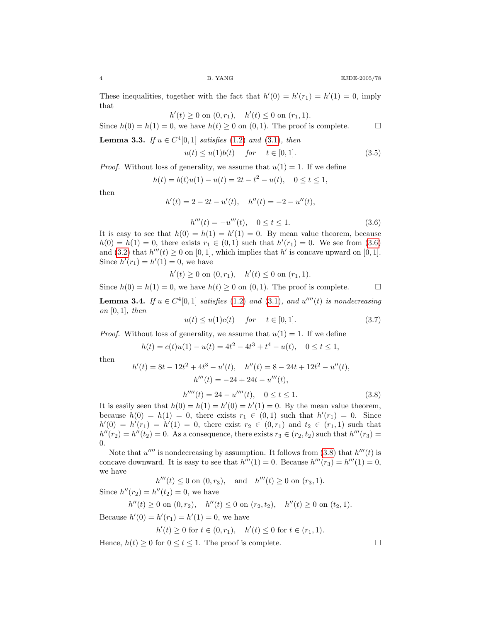These inequalities, together with the fact that  $h'(0) = h'(r_1) = h'(1) = 0$ , imply that

$$
h'(t) \ge 0 \text{ on } (0, r_1), \quad h'(t) \le 0 \text{ on } (r_1, 1).
$$

Since  $h(0) = h(1) = 0$ , we have  $h(t) \ge 0$  on  $(0, 1)$ . The proof is complete.

<span id="page-4-4"></span>**Lemma 3.3.** If  $u \in C^4[0,1]$  satisfies [\(1.2\)](#page-1-1) and [\(3.1\)](#page-3-0), then

<span id="page-4-2"></span>
$$
u(t) \le u(1)b(t) \quad \text{for} \quad t \in [0,1]. \tag{3.5}
$$

*Proof.* Without loss of generality, we assume that  $u(1) = 1$ . If we define

$$
h(t) = b(t)u(1) - u(t) = 2t - t^2 - u(t), \quad 0 \le t \le 1,
$$

<span id="page-4-0"></span>then

$$
h'(t) = 2 - 2t - u'(t), \quad h''(t) = -2 - u''(t),
$$

$$
h'''(t) = -u'''(t), \quad 0 \le t \le 1.
$$
\n(3.6)

It is easy to see that  $h(0) = h(1) = h'(1) = 0$ . By mean value theorem, because  $h(0) = h(1) = 0$ , there exists  $r_1 \in (0,1)$  such that  $h'(r_1) = 0$ . We see from [\(3.6\)](#page-4-0) and [\(3.2\)](#page-3-3) that  $h'''(t) \ge 0$  on [0, 1], which implies that h' is concave upward on [0, 1]. Since  $h'(r_1) = h'(1) = 0$ , we have

$$
h'(t) \ge 0 \text{ on } (0, r_1), \quad h'(t) \le 0 \text{ on } (r_1, 1).
$$

Since  $h(0) = h(1) = 0$ , we have  $h(t) \geq 0$  on  $(0, 1)$ . The proof is complete.

<span id="page-4-6"></span>**Lemma 3.4.** If  $u \in C^4[0,1]$  satisfies [\(1.2\)](#page-1-1) and [\(3.1\)](#page-3-0), and  $u^{\prime\prime\prime\prime}(t)$  is nondecreasing on  $[0, 1]$ , then

<span id="page-4-5"></span>
$$
u(t) \le u(1)c(t) \quad \text{for} \quad t \in [0,1]. \tag{3.7}
$$

*Proof.* Without loss of generality, we assume that  $u(1) = 1$ . If we define

$$
h(t) = c(t)u(1) - u(t) = 4t^2 - 4t^3 + t^4 - u(t), \quad 0 \le t \le 1,
$$

<span id="page-4-1"></span>then

$$
h'(t) = 8t - 12t2 + 4t3 - u'(t), \quad h''(t) = 8 - 24t + 12t2 - u''(t),
$$
  

$$
h'''(t) = -24 + 24t - u'''(t),
$$

$$
h''''(t) = 24 - u''''(t), \quad 0 \le t \le 1.
$$
\n(3.8)

It is easily seen that  $h(0) = h(1) = h'(0) = h'(1) = 0$ . By the mean value theorem, because  $h(0) = h(1) = 0$ , there exists  $r_1 \in (0,1)$  such that  $h'(r_1) = 0$ . Since  $h'(0) = h'(r_1) = h'(1) = 0$ , there exist  $r_2 \in (0, r_1)$  and  $t_2 \in (r_1, 1)$  such that  $h''(r_2) = h''(t_2) = 0$ . As a consequence, there exists  $r_3 \in (r_2, t_2)$  such that  $h'''(r_3) =$ 0.

Note that  $u^{\prime\prime\prime\prime}$  is nondecreasing by assumption. It follows from [\(3.8\)](#page-4-1) that  $h^{\prime\prime\prime}(t)$  is concave downward. It is easy to see that  $h'''(1) = 0$ . Because  $h'''(r_3) = h'''(1) = 0$ , we have

$$
h'''(t) \le 0
$$
 on  $(0,r_3)$ , and  $h'''(t) \ge 0$  on  $(r_3,1)$ .

Since  $h''(r_2) = h''(t_2) = 0$ , we have

$$
h''(t) \ge 0 \text{ on } (0, r_2), \quad h''(t) \le 0 \text{ on } (r_2, t_2), \quad h''(t) \ge 0 \text{ on } (t_2, 1).
$$

Because  $h'(0) = h'(r_1) = h'(1) = 0$ , we have

$$
h'(t) \ge 0 \text{ for } t \in (0, r_1), \quad h'(t) \le 0 \text{ for } t \in (r_1, 1).
$$

<span id="page-4-3"></span>Hence,  $h(t) \geq 0$  for  $0 \leq t \leq 1$ . The proof is complete.

$$
^{4}
$$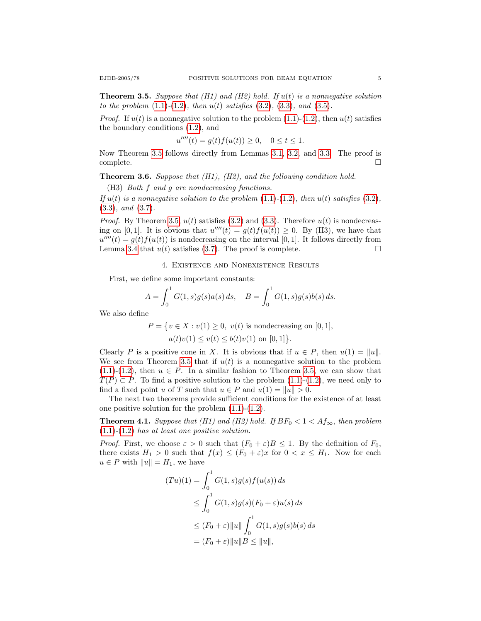**Theorem 3.5.** Suppose that (H1) and (H2) hold. If  $u(t)$  is a nonnegative solution to the problem  $(1.1)$ - $(1.2)$ , then  $u(t)$  satisfies  $(3.2)$ ,  $(3.3)$ , and  $(3.5)$ .

*Proof.* If  $u(t)$  is a nonnegative solution to the problem  $(1.1)-(1.2)$  $(1.1)-(1.2)$  $(1.1)-(1.2)$ , then  $u(t)$  satisfies the boundary conditions [\(1.2\)](#page-1-1), and

$$
u''''(t) = g(t)f(u(t)) \ge 0, \quad 0 \le t \le 1.
$$

Now Theorem [3.5](#page-4-3) follows directly from Lemmas [3.1,](#page-3-4) [3.2,](#page-3-5) and [3.3.](#page-4-4) The proof is  $\Box$ complete.  $\Box$ 

<span id="page-5-1"></span>**Theorem 3.6.** Suppose that  $(H1)$ ,  $(H2)$ , and the following condition hold.

(H3) Both f and g are nondecreasing functions.

If  $u(t)$  is a nonnegative solution to the problem  $(1.1)-(1.2)$  $(1.1)-(1.2)$  $(1.1)-(1.2)$ , then  $u(t)$  satisfies  $(3.2)$ , [\(3.3\)](#page-3-1), and [\(3.7\)](#page-4-5).

*Proof.* By Theorem [3.5,](#page-4-3)  $u(t)$  satisfies [\(3.2\)](#page-3-3) and [\(3.3\)](#page-3-1). Therefore  $u(t)$  is nondecreasing on [0,1]. It is obvious that  $u'''(t) = g(t)f(u(t)) \ge 0$ . By (H3), we have that  $u''''(t) = g(t) f(u(t))$  is nondecreasing on the interval [0,1]. It follows directly from Lemma [3.4](#page-4-6) that  $u(t)$  satisfies [\(3.7\)](#page-4-5). The proof is complete.

4. Existence and Nonexistence Results

First, we define some important constants:

$$
A = \int_0^1 G(1, s)g(s)a(s) ds, \quad B = \int_0^1 G(1, s)g(s)b(s) ds.
$$

We also define

$$
P = \{ v \in X : v(1) \ge 0, \ v(t) \text{ is nondecreasing on } [0, 1],
$$
  

$$
a(t)v(1) \le v(t) \le b(t)v(1) \text{ on } [0, 1] \}.
$$

Clearly P is a positive cone in X. It is obvious that if  $u \in P$ , then  $u(1) = ||u||$ . We see from Theorem [3.5](#page-4-3) that if  $u(t)$  is a nonnegative solution to the problem  $(1.1)-(1.2)$  $(1.1)-(1.2)$  $(1.1)-(1.2)$ , then  $u \in P$ . In a similar fashion to Theorem [3.5,](#page-4-3) we can show that  $T(P) \subset P$ . To find a positive solution to the problem [\(1.1\)](#page-1-0)-[\(1.2\)](#page-1-1), we need only to find a fixed point u of T such that  $u \in P$  and  $u(1) = ||u|| > 0$ .

The next two theorems provide sufficient conditions for the existence of at least one positive solution for the problem  $(1.1)-(1.2)$  $(1.1)-(1.2)$  $(1.1)-(1.2)$ .

<span id="page-5-0"></span>**Theorem 4.1.** Suppose that (H1) and (H2) hold. If  $BF_0 < 1 < Af_\infty$ , then problem  $(1.1)-(1.2)$  $(1.1)-(1.2)$  $(1.1)-(1.2)$  has at least one positive solution.

*Proof.* First, we choose  $\varepsilon > 0$  such that  $(F_0 + \varepsilon)B \leq 1$ . By the definition of  $F_0$ , there exists  $H_1 > 0$  such that  $f(x) \leq (F_0 + \varepsilon)x$  for  $0 < x \leq H_1$ . Now for each  $u \in P$  with  $||u|| = H_1$ , we have

$$
(Tu)(1) = \int_0^1 G(1, s)g(s)f(u(s)) ds
$$
  
\n
$$
\leq \int_0^1 G(1, s)g(s)(F_0 + \varepsilon)u(s) ds
$$
  
\n
$$
\leq (F_0 + \varepsilon) ||u|| \int_0^1 G(1, s)g(s)b(s) ds
$$
  
\n
$$
= (F_0 + \varepsilon) ||u|| B \leq ||u||,
$$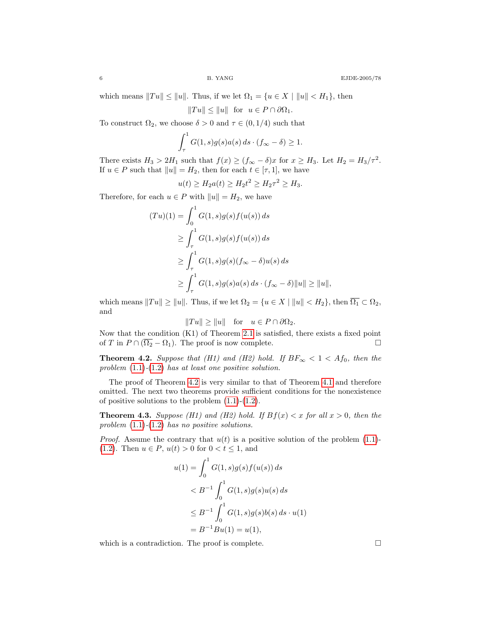which means  $||Tu|| \le ||u||$ . Thus, if we let  $\Omega_1 = \{u \in X \mid ||u|| < H_1\}$ , then

$$
||Tu|| \le ||u||
$$
 for  $u \in P \cap \partial \Omega_1$ .

To construct  $\Omega_2$ , we choose  $\delta > 0$  and  $\tau \in (0, 1/4)$  such that

$$
\int_{\tau}^{1} G(1,s)g(s)a(s) ds \cdot (f_{\infty} - \delta) \ge 1.
$$

There exists  $H_3 > 2H_1$  such that  $f(x) \ge (f_{\infty} - \delta)x$  for  $x \ge H_3$ . Let  $H_2 = H_3/\tau^2$ . If  $u \in P$  such that  $||u|| = H_2$ , then for each  $t \in [\tau, 1]$ , we have

$$
u(t) \ge H_2 a(t) \ge H_2 t^2 \ge H_2 \tau^2 \ge H_3.
$$

Therefore, for each  $u \in P$  with  $||u|| = H_2$ , we have

$$
(Tu)(1) = \int_0^1 G(1, s)g(s)f(u(s)) ds
$$
  
\n
$$
\geq \int_\tau^1 G(1, s)g(s)f(u(s)) ds
$$
  
\n
$$
\geq \int_\tau^1 G(1, s)g(s)(f_\infty - \delta)u(s) ds
$$
  
\n
$$
\geq \int_\tau^1 G(1, s)g(s)a(s) ds \cdot (f_\infty - \delta) ||u|| \geq ||u||,
$$

which means  $||Tu|| \ge ||u||$ . Thus, if we let  $\Omega_2 = \{u \in X \mid ||u|| < H_2\}$ , then  $\overline{\Omega_1} \subset \Omega_2$ , and

$$
||Tu|| \ge ||u||
$$
 for  $u \in P \cap \partial \Omega_2$ .

Now that the condition (K1) of Theorem [2.1](#page-2-0) is satisfied, there exists a fixed point of T in  $P \cap (\overline{\Omega_2} - \Omega_1)$ . The proof is now complete.

<span id="page-6-0"></span>**Theorem 4.2.** Suppose that (H1) and (H2) hold. If  $BF_{\infty} < 1 < Af_0$ , then the problem  $(1.1)-(1.2)$  $(1.1)-(1.2)$  $(1.1)-(1.2)$  has at least one positive solution.

The proof of Theorem [4.2](#page-6-0) is very similar to that of Theorem [4.1](#page-5-0) and therefore omitted. The next two theorems provide sufficient conditions for the nonexistence of positive solutions to the problem  $(1.1)-(1.2)$  $(1.1)-(1.2)$  $(1.1)-(1.2)$ .

<span id="page-6-1"></span>**Theorem 4.3.** Suppose (H1) and (H2) hold. If  $Bf(x) < x$  for all  $x > 0$ , then the problem  $(1.1)-(1.2)$  $(1.1)-(1.2)$  $(1.1)-(1.2)$  has no positive solutions.

*Proof.* Assume the contrary that  $u(t)$  is a positive solution of the problem [\(1.1\)](#page-1-0)-[\(1.2\)](#page-1-1). Then  $u \in P$ ,  $u(t) > 0$  for  $0 < t \le 1$ , and

$$
u(1) = \int_0^1 G(1, s)g(s)f(u(s)) ds
$$
  

$$
< B^{-1} \int_0^1 G(1, s)g(s)u(s) ds
$$
  

$$
\leq B^{-1} \int_0^1 G(1, s)g(s)b(s) ds \cdot u(1)
$$
  

$$
= B^{-1}Bu(1) = u(1),
$$

<span id="page-6-2"></span>which is a contradiction. The proof is complete.  $\Box$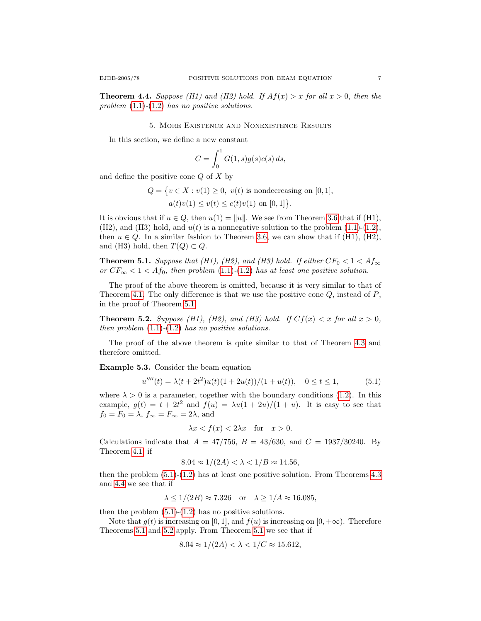**Theorem 4.4.** Suppose (H1) and (H2) hold. If  $Af(x) > x$  for all  $x > 0$ , then the problem  $(1.1)$ - $(1.2)$  has no positive solutions.

#### 5. More Existence and Nonexistence Results

In this section, we define a new constant

$$
C = \int_0^1 G(1, s)g(s)c(s) ds,
$$

and define the positive cone  $Q$  of  $X$  by

 $Q = \{v \in X : v(1) \geq 0, v(t) \text{ is nondecreasing on } [0, 1],\}$ 

 $a(t)v(1) \le v(t) \le c(t)v(1)$  on  $[0,1]$ .

It is obvious that if  $u \in Q$ , then  $u(1) = ||u||$ . We see from Theorem [3.6](#page-5-1) that if (H1), (H2), and (H3) hold, and  $u(t)$  is a nonnegative solution to the problem  $(1.1)-(1.2)$  $(1.1)-(1.2)$  $(1.1)-(1.2)$ , then  $u \in Q$ . In a similar fashion to Theorem [3.6,](#page-5-1) we can show that if (H1), (H2), and (H3) hold, then  $T(Q) \subset Q$ .

<span id="page-7-0"></span>**Theorem 5.1.** Suppose that (H1), (H2), and (H3) hold. If either  $CF_0 < 1 < Af_{\infty}$ or  $CF_{\infty} < 1 < Af_0$ , then problem [\(1.1\)](#page-1-0)-[\(1.2\)](#page-1-1) has at least one positive solution.

The proof of the above theorem is omitted, because it is very similar to that of Theorem [4.1.](#page-5-0) The only difference is that we use the positive cone  $Q$ , instead of  $P$ , in the proof of Theorem [5.1.](#page-7-0)

<span id="page-7-2"></span>**Theorem 5.2.** Suppose (H1), (H2), and (H3) hold. If  $Cf(x) < x$  for all  $x > 0$ , then problem  $(1.1)-(1.2)$  $(1.1)-(1.2)$  $(1.1)-(1.2)$  has no positive solutions.

The proof of the above theorem is quite similar to that of Theorem [4.3](#page-6-1) and therefore omitted.

Example 5.3. Consider the beam equation

$$
u''''(t) = \lambda(t + 2t^2)u(t)(1 + 2u(t))/(1 + u(t)), \quad 0 \le t \le 1,
$$
\n(5.1)

where  $\lambda > 0$  is a parameter, together with the boundary conditions [\(1.2\)](#page-1-1). In this example,  $g(t) = t + 2t^2$  and  $f(u) = \lambda u(1 + 2u)/(1 + u)$ . It is easy to see that  $f_0 = F_0 = \lambda$ ,  $f_{\infty} = F_{\infty} = 2\lambda$ , and

<span id="page-7-1"></span>
$$
\lambda x < f(x) < 2\lambda x \quad \text{for} \quad x > 0.
$$

Calculations indicate that  $A = 47/756$ ,  $B = 43/630$ , and  $C = 1937/30240$ . By Theorem [4.1,](#page-5-0) if

$$
8.04 \approx 1/(2A) < \lambda < 1/B \approx 14.56,
$$

then the problem [\(5.1\)](#page-7-1)-[\(1.2\)](#page-1-1) has at least one positive solution. From Theorems [4.3](#page-6-1) and [4.4](#page-6-2) we see that if

$$
\lambda \le 1/(2B) \approx 7.326
$$
 or  $\lambda \ge 1/A \approx 16.085$ ,

then the problem  $(5.1)-(1.2)$  $(5.1)-(1.2)$  $(5.1)-(1.2)$  has no positive solutions.

Note that  $g(t)$  is increasing on [0, 1], and  $f(u)$  is increasing on [0, + $\infty$ ). Therefore Theorems [5.1](#page-7-0) and [5.2](#page-7-2) apply. From Theorem [5.1](#page-7-0) we see that if

$$
8.04 \approx 1/(2A) < \lambda < 1/C \approx 15.612,
$$